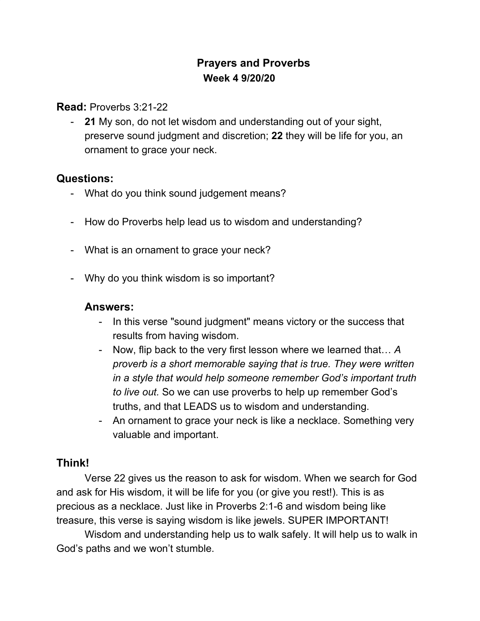# **Prayers and Proverbs Week 4 9/20/20**

#### **Read:** Proverbs 3:21-22

- **21** My son, do not let wisdom and understanding out of your sight, preserve sound judgment and discretion; **22** they will be life for you, an ornament to grace your neck.

## **Questions:**

- What do you think sound judgement means?
- How do Proverbs help lead us to wisdom and understanding?
- What is an ornament to grace your neck?
- Why do you think wisdom is so important?

### **Answers:**

- In this verse "sound judgment" means victory or the success that results from having wisdom.
- Now, flip back to the very first lesson where we learned that… *A proverb is a short memorable saying that is true. They were written in a style that would help someone remember God's important truth to live out.* So we can use proverbs to help up remember God's truths, and that LEADS us to wisdom and understanding.
- An ornament to grace your neck is like a necklace. Something very valuable and important.

## **Think!**

Verse 22 gives us the reason to ask for wisdom. When we search for God and ask for His wisdom, it will be life for you (or give you rest!). This is as precious as a necklace. Just like in Proverbs 2:1-6 and wisdom being like treasure, this verse is saying wisdom is like jewels. SUPER IMPORTANT!

Wisdom and understanding help us to walk safely. It will help us to walk in God's paths and we won't stumble.